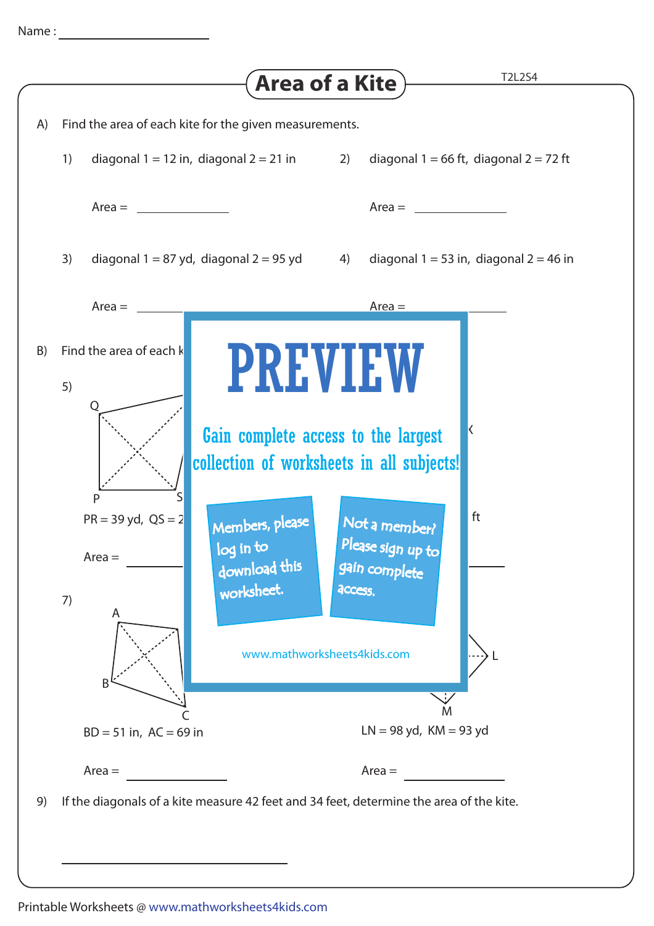